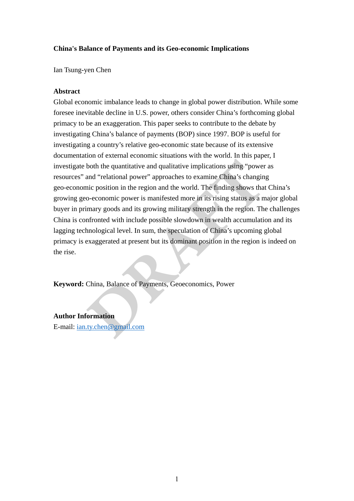# **China's Balance of Payments and its Geo-economic Implications**

Ian Tsung-yen Chen

# **Abstract**

**China's Balance of Payments and its Geo-economic Implications<br>
1an Tsung yea Chea<br>
A Metract<br>
(Giohal conomic imbalance leads to change in global power distribution. While some<br>
forecase incredisted eclients in U.S. powe** Global economic imbalance leads to change in global power distribution. While some foresee inevitable decline in U.S. power, others consider China's forthcoming global primacy to be an exaggeration. This paper seeks to contribute to the debate by investigating China's balance of payments (BOP) since 1997. BOP is useful for investigating a country's relative geo-economic state because of its extensive documentation of external economic situations with the world. In this paper, I investigate both the quantitative and qualitative implications using "power as resources" and "relational power" approaches to examine China's changing geo-economic position in the region and the world. The finding shows that China's growing geo-economic power is manifested more in its rising status as a major global buyer in primary goods and its growing military strength in the region. The challenges China is confronted with include possible slowdown in wealth accumulation and its lagging technological level. In sum, the speculation of China's upcoming global primacy is exaggerated at present but its dominant position in the region is indeed on the rise.

**Keyword:** China, Balance of Payments, Geoeconomics, Power

# **Author Information**

E-mail: ian.ty.chen@gmail.com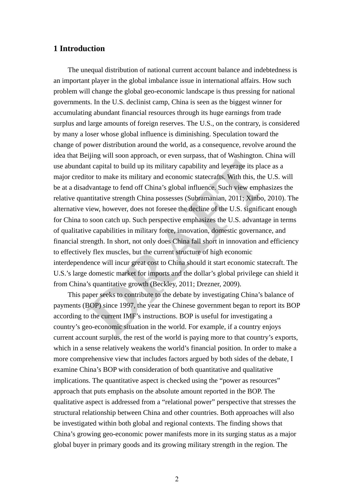# **1 Introduction**

**I Introduction**<br>The unequal distribution of national current account balance and indebtedness is<br>an important phase photo good involuted include the international affects. How such<br>problem will change the global geocenor The unequal distribution of national current account balance and indebtedness is an important player in the global imbalance issue in international affairs. How such problem will change the global geo-economic landscape is thus pressing for national governments. In the U.S. declinist camp, China is seen as the biggest winner for accumulating abundant financial resources through its huge earnings from trade surplus and large amounts of foreign reserves. The U.S., on the contrary, is considered by many a loser whose global influence is diminishing. Speculation toward the change of power distribution around the world, as a consequence, revolve around the idea that Beijing will soon approach, or even surpass, that of Washington. China will use abundant capital to build up its military capability and leverage its place as a major creditor to make its military and economic statecrafts. With this, the U.S. will be at a disadvantage to fend off China's global influence. Such view emphasizes the relative quantitative strength China possesses (Subramanian, 2011; Xinbo, 2010). The alternative view, however, does not foresee the decline of the U.S. significant enough for China to soon catch up. Such perspective emphasizes the U.S. advantage in terms of qualitative capabilities in military force, innovation, domestic governance, and financial strength. In short, not only does China fall short in innovation and efficiency to effectively flex muscles, but the current structure of high economic interdependence will incur great cost to China should it start economic statecraft. The U.S.'s large domestic market for imports and the dollar's global privilege can shield it from China's quantitative growth (Beckley, 2011; Drezner, 2009).

This paper seeks to contribute to the debate by investigating China's balance of payments (BOP) since 1997, the year the Chinese government began to report its BOP according to the current IMF's instructions. BOP is useful for investigating a country's geo-economic situation in the world. For example, if a country enjoys current account surplus, the rest of the world is paying more to that country's exports, which in a sense relatively weakens the world's financial position. In order to make a more comprehensive view that includes factors argued by both sides of the debate, I examine China's BOP with consideration of both quantitative and qualitative implications. The quantitative aspect is checked using the "power as resources" approach that puts emphasis on the absolute amount reported in the BOP. The qualitative aspect is addressed from a "relational power" perspective that stresses the structural relationship between China and other countries. Both approaches will also be investigated within both global and regional contexts. The finding shows that China's growing geo-economic power manifests more in its surging status as a major global buyer in primary goods and its growing military strength in the region. The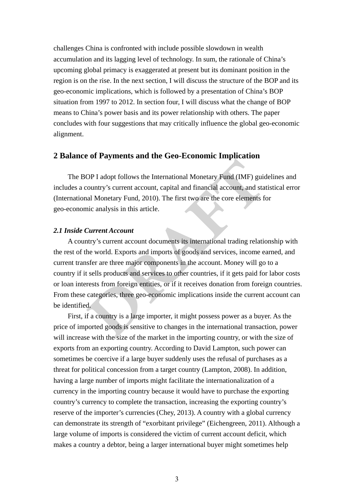challenges China is conferoitel with include possible slowdown in wealth<br>accountation and is beging level of redundery. In sum, the minorale of China's<br>proporing global primary is exaggerated at postent in its dominant po challenges China is confronted with include possible slowdown in wealth accumulation and its lagging level of technology. In sum, the rationale of China's upcoming global primacy is exaggerated at present but its dominant position in the region is on the rise. In the next section, I will discuss the structure of the BOP and its geo-economic implications, which is followed by a presentation of China's BOP situation from 1997 to 2012. In section four, I will discuss what the change of BOP means to China's power basis and its power relationship with others. The paper concludes with four suggestions that may critically influence the global geo-economic alignment.

# **2 Balance of Payments and the Geo-Economic Implication**

The BOP I adopt follows the International Monetary Fund (IMF) guidelines and includes a country's current account, capital and financial account, and statistical error (International Monetary Fund, 2010). The first two are the core elements for geo-economic analysis in this article.

#### *2.1 Inside Current Account*

 A country's current account documents its international trading relationship with the rest of the world. Exports and imports of goods and services, income earned, and current transfer are three major components in the account. Money will go to a country if it sells products and services to other countries, if it gets paid for labor costs or loan interests from foreign entities, or if it receives donation from foreign countries. From these categories, three geo-economic implications inside the current account can be identified.

 First, if a country is a large importer, it might possess power as a buyer. As the price of imported goods is sensitive to changes in the international transaction, power will increase with the size of the market in the importing country, or with the size of exports from an exporting country. According to David Lampton, such power can sometimes be coercive if a large buyer suddenly uses the refusal of purchases as a threat for political concession from a target country (Lampton, 2008). In addition, having a large number of imports might facilitate the internationalization of a currency in the importing country because it would have to purchase the exporting country's currency to complete the transaction, increasing the exporting country's reserve of the importer's currencies (Chey, 2013). A country with a global currency can demonstrate its strength of "exorbitant privilege" (Eichengreen, 2011). Although a large volume of imports is considered the victim of current account deficit, which makes a country a debtor, being a larger international buyer might sometimes help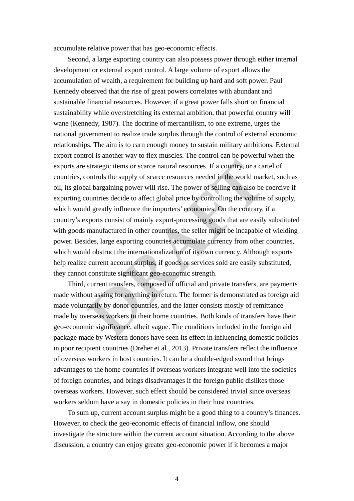accumulate relative power that has geo-economic effects.

accountable relative prover that has geo-economic effects,<br>Secondary enhance and a proper comparing control. A large value of export allows the<br>development of exercisal export comparison and prosesses prover through either Second, a large exporting country can also possess power through either internal development or external export control. A large volume of export allows the accumulation of wealth, a requirement for building up hard and soft power. Paul Kennedy observed that the rise of great powers correlates with abundant and sustainable financial resources. However, if a great power falls short on financial sustainability while overstretching its external ambition, that powerful country will wane (Kennedy, 1987). The doctrine of mercantilism, to one extreme, urges the national government to realize trade surplus through the control of external economic relationships. The aim is to earn enough money to sustain military ambitions. External export control is another way to flex muscles. The control can be powerful when the exports are strategic items or scarce natural resources. If a country, or a cartel of countries, controls the supply of scarce resources needed in the world market, such as oil, its global bargaining power will rise. The power of selling can also be coercive if exporting countries decide to affect global price by controlling the volume of supply, which would greatly influence the importers' economies. On the contrary, if a country's exports consist of mainly export-processing goods that are easily substituted with goods manufactured in other countries, the seller might be incapable of wielding power. Besides, large exporting countries accumulate currency from other countries, which would obstruct the internationalization of its own currency. Although exports help realize current account surplus, if goods or services sold are easily substituted, they cannot constitute significant geo-economic strength.

 Third, current transfers, composed of official and private transfers, are payments made without asking for anything in return. The former is demonstrated as foreign aid made voluntarily by donor countries, and the latter consists mostly of remittance made by overseas workers to their home countries. Both kinds of transfers have their geo-economic significance, albeit vague. The conditions included in the foreign aid package made by Western donors have seen its effect in influencing domestic policies in poor recipient countries (Dreher et al., 2013). Private transfers reflect the influence of overseas workers in host countries. It can be a double-edged sword that brings advantages to the home countries if overseas workers integrate well into the societies of foreign countries, and brings disadvantages if the foreign public dislikes those overseas workers. However, such effect should be considered trivial since overseas workers seldom have a say in domestic policies in their host countries.

 To sum up, current account surplus might be a good thing to a country's finances. However, to check the geo-economic effects of financial inflow, one should investigate the structure within the current account situation. According to the above discussion, a country can enjoy greater geo-economic power if it becomes a major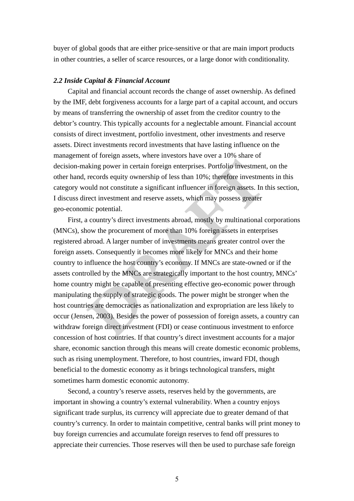buyer of global goods that are either price-sensitive or that are main import products in other countries, a seller of scarce resources, or a large donor with conditionality.

#### *2.2 Inside Capital & Financial Account*

buyer of global goods that are either price-sensitive or that are main import products in other countries, a seller of scarce resources, or a large donor with conditionality 2.2 Interference Compare contents of comparison Capital and financial account records the change of asset ownership. As defined by the IMF, debt forgiveness accounts for a large part of a capital account, and occurs by means of transferring the ownership of asset from the creditor country to the debtor's country. This typically accounts for a neglectable amount. Financial account consists of direct investment, portfolio investment, other investments and reserve assets. Direct investments record investments that have lasting influence on the management of foreign assets, where investors have over a 10% share of decision-making power in certain foreign enterprises. Portfolio investment, on the other hand, records equity ownership of less than 10%; therefore investments in this category would not constitute a significant influencer in foreign assets. In this section, I discuss direct investment and reserve assets, which may possess greater geo-economic potential.

 First, a country's direct investments abroad, mostly by multinational corporations (MNCs), show the procurement of more than 10% foreign assets in enterprises registered abroad. A larger number of investments means greater control over the foreign assets. Consequently it becomes more likely for MNCs and their home country to influence the host country's economy. If MNCs are state-owned or if the assets controlled by the MNCs are strategically important to the host country, MNCs' home country might be capable of presenting effective geo-economic power through manipulating the supply of strategic goods. The power might be stronger when the host countries are democracies as nationalization and expropriation are less likely to occur (Jensen, 2003). Besides the power of possession of foreign assets, a country can withdraw foreign direct investment (FDI) or cease continuous investment to enforce concession of host countries. If that country's direct investment accounts for a major share, economic sanction through this means will create domestic economic problems, such as rising unemployment. Therefore, to host countries, inward FDI, though beneficial to the domestic economy as it brings technological transfers, might sometimes harm domestic economic autonomy.

 Second, a country's reserve assets, reserves held by the governments, are important in showing a country's external vulnerability. When a country enjoys significant trade surplus, its currency will appreciate due to greater demand of that country's currency. In order to maintain competitive, central banks will print money to buy foreign currencies and accumulate foreign reserves to fend off pressures to appreciate their currencies. Those reserves will then be used to purchase safe foreign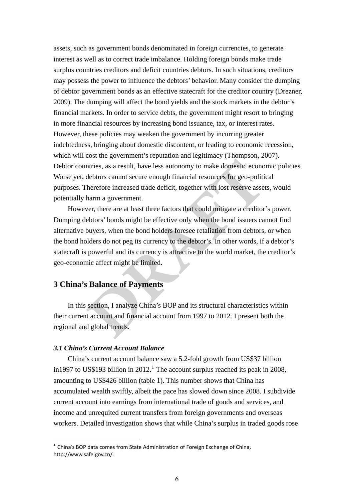assets, such as government bonds denominated in foreign currencies, to generate intenses as well as to correct unde inhalance fibéling foreign bonds made traditional map (means on posses also powers on posses and provide t assets, such as government bonds denominated in foreign currencies, to generate interest as well as to correct trade imbalance. Holding foreign bonds make trade surplus countries creditors and deficit countries debtors. In such situations, creditors may possess the power to influence the debtors' behavior. Many consider the dumping of debtor government bonds as an effective statecraft for the creditor country (Drezner, 2009). The dumping will affect the bond yields and the stock markets in the debtor's financial markets. In order to service debts, the government might resort to bringing in more financial resources by increasing bond issuance, tax, or interest rates. However, these policies may weaken the government by incurring greater indebtedness, bringing about domestic discontent, or leading to economic recession, which will cost the government's reputation and legitimacy (Thompson, 2007). Debtor countries, as a result, have less autonomy to make domestic economic policies. Worse yet, debtors cannot secure enough financial resources for geo-political purposes. Therefore increased trade deficit, together with lost reserve assets, would potentially harm a government.

However, there are at least three factors that could mitigate a creditor's power. Dumping debtors' bonds might be effective only when the bond issuers cannot find alternative buyers, when the bond holders foresee retaliation from debtors, or when the bond holders do not peg its currency to the debtor's. In other words, if a debtor's statecraft is powerful and its currency is attractive to the world market, the creditor's geo-economic affect might be limited.

# **3 China's Balance of Payments**

In this section, I analyze China's BOP and its structural characteristics within their current account and financial account from 1997 to 2012. I present both the regional and global trends.

# *3.1 China's Current Account Balance*

 China's current account balance saw a 5.2-fold growth from US\$37 billion in[1](#page-5-0)997 to US\$193 billion in 2012.<sup>1</sup> The account surplus reached its peak in 2008, amounting to US\$426 billion (table 1). This number shows that China has accumulated wealth swiftly, albeit the pace has slowed down since 2008. I subdivide current account into earnings from international trade of goods and services, and income and unrequited current transfers from foreign governments and overseas workers. Detailed investigation shows that while China's surplus in traded goods rose

<span id="page-5-0"></span> $1$  China's BOP data comes from State Administration of Foreign Exchange of China, http://www.safe.gov.cn/.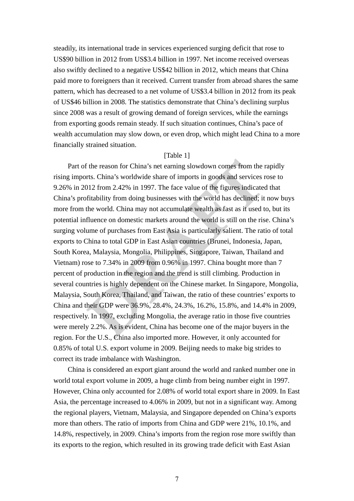steadily, its international trade in services experienced surging deficit that rose to US\$90 billion in 2012 from US\$3.4 billion in 1997. Net income received overseas also swiftly declined to a negative US\$42 billion in 2012, which means that China paid more to foreigners than it received. Current transfer from abroad shares the same pattern, which has decreased to a net volume of US\$3.4 billion in 2012 from its peak of US\$46 billion in 2008. The statistics demonstrate that China's declining surplus since 2008 was a result of growing demand of foreign services, while the earnings from exporting goods remain steady. If such situation continues, China's pace of wealth accumulation may slow down, or even drop, which might lead China to a more financially strained situation.

# [Table 1]

steadily, its international trade in services experienced surging deficit that rose to IISSO billion in 2012 from USSO abilition in 1997. Nei income to<br>evidence and so worthly declined to a negative IISSGA billion in 2012 Part of the reason for China's net earning slowdown comes from the rapidly rising imports. China's worldwide share of imports in goods and services rose to 9.26% in 2012 from 2.42% in 1997. The face value of the figures indicated that China's profitability from doing businesses with the world has declined; it now buys more from the world. China may not accumulate wealth as fast as it used to, but its potential influence on domestic markets around the world is still on the rise. China's surging volume of purchases from East Asia is particularly salient. The ratio of total exports to China to total GDP in East Asian countries (Brunei, Indonesia, Japan, South Korea, Malaysia, Mongolia, Philippines, Singapore, Taiwan, Thailand and Vietnam) rose to 7.34% in 2009 from 0.96% in 1997. China bought more than 7 percent of production in the region and the trend is still climbing. Production in several countries is highly dependent on the Chinese market. In Singapore, Mongolia, Malaysia, South Korea, Thailand, and Taiwan, the ratio of these countries' exports to China and their GDP were 36.9%, 28.4%, 24.3%, 16.2%, 15.8%, and 14.4% in 2009, respectively. In 1997, excluding Mongolia, the average ratio in those five countries were merely 2.2%. As is evident, China has become one of the major buyers in the region. For the U.S., China also imported more. However, it only accounted for 0.85% of total U.S. export volume in 2009. Beijing needs to make big strides to correct its trade imbalance with Washington.

> China is considered an export giant around the world and ranked number one in world total export volume in 2009, a huge climb from being number eight in 1997. However, China only accounted for 2.08% of world total export share in 2009. In East Asia, the percentage increased to 4.06% in 2009, but not in a significant way. Among the regional players, Vietnam, Malaysia, and Singapore depended on China's exports more than others. The ratio of imports from China and GDP were 21%, 10.1%, and 14.8%, respectively, in 2009. China's imports from the region rose more swiftly than its exports to the region, which resulted in its growing trade deficit with East Asian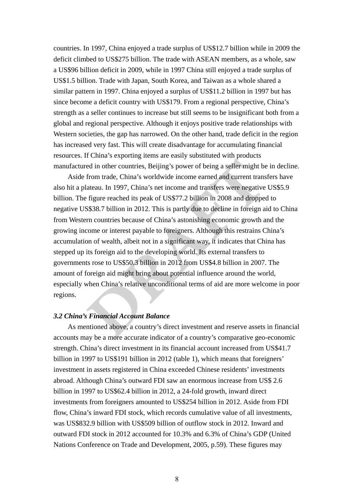countries. In 1997, China enjoyed a trade surplus of US\$12.7 billion while in 2009 the deficit climbed to US\$275 billion. The trade with ASEAN members, as a whole, saw a US\$96 billion deficit in 2009, while in 1997 China still enjoyed a trade surplus of US\$1.5 billion. Trade with Japan, South Korea, and Taiwan as a whole shared a similar pattern in 1997. China enjoyed a surplus of US\$11.2 billion in 1997 but has since become a deficit country with US\$179. From a regional perspective, China's strength as a seller continues to increase but still seems to be insignificant both from a global and regional perspective. Although it enjoys positive trade relationships with Western societies, the gap has narrowed. On the other hand, trade deficit in the region has increased very fast. This will create disadvantage for accumulating financial resources. If China's exporting items are easily substituted with products manufactured in other countries, Beijing's power of being a seller might be in decline.

countries. In 1997, China enjoyed a trade surplus of US\$12.7 billion while in 2009 the deficit chinal conservations. The trade with ASFAN members, as a whole, saw a US\$9. China China China China China China China China Ch Aside from trade, China's worldwide income earned and current transfers have also hit a plateau. In 1997, China's net income and transfers were negative US\$5.9 billion. The figure reached its peak of US\$77.2 billion in 2008 and dropped to negative US\$38.7 billion in 2012. This is partly due to decline in foreign aid to China from Western countries because of China's astonishing economic growth and the growing income or interest payable to foreigners. Although this restrains China's accumulation of wealth, albeit not in a significant way, it indicates that China has stepped up its foreign aid to the developing world. Its external transfers to governments rose to US\$50.3 billion in 2012 from US\$4.8 billion in 2007. The amount of foreign aid might bring about potential influence around the world, especially when China's relative unconditional terms of aid are more welcome in poor regions.

### *3.2 China's Financial Account Balance*

 As mentioned above, a country's direct investment and reserve assets in financial accounts may be a more accurate indicator of a country's comparative geo-economic strength. China's direct investment in its financial account increased from US\$41.7 billion in 1997 to US\$191 billion in 2012 (table 1), which means that foreigners' investment in assets registered in China exceeded Chinese residents' investments abroad. Although China's outward FDI saw an enormous increase from US\$ 2.6 billion in 1997 to US\$62.4 billion in 2012, a 24-fold growth, inward direct investments from foreigners amounted to US\$254 billion in 2012. Aside from FDI flow, China's inward FDI stock, which records cumulative value of all investments, was US\$832.9 billion with US\$509 billion of outflow stock in 2012. Inward and outward FDI stock in 2012 accounted for 10.3% and 6.3% of China's GDP (United Nations Conference on Trade and Development, 2005, p.59). These figures may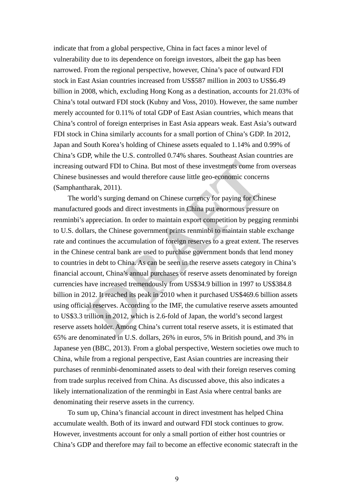indicate that from a global perspective, China in fact faces a minor level of<br>voluentiality (he to its dependence on foreign investors, showing the goy has been<br>normousl. From the regional perspective, however, China's pix indicate that from a global perspective, China in fact faces a minor level of vulnerability due to its dependence on foreign investors, albeit the gap has been narrowed. From the regional perspective, however, China's pace of outward FDI stock in East Asian countries increased from US\$587 million in 2003 to US\$6.49 billion in 2008, which, excluding Hong Kong as a destination, accounts for 21.03% of China's total outward FDI stock (Kubny and Voss, 2010). However, the same number merely accounted for 0.11% of total GDP of East Asian countries, which means that China's control of foreign enterprises in East Asia appears weak. East Asia's outward FDI stock in China similarly accounts for a small portion of China's GDP. In 2012, Japan and South Korea's holding of Chinese assets equaled to 1.14% and 0.99% of China's GDP, while the U.S. controlled 0.74% shares. Southeast Asian countries are increasing outward FDI to China. But most of these investments come from overseas Chinese businesses and would therefore cause little geo-economic concerns (Samphantharak, 2011).

 The world's surging demand on Chinese currency for paying for Chinese manufactured goods and direct investments in China put enormous pressure on renminbi's appreciation. In order to maintain export competition by pegging renminbi to U.S. dollars, the Chinese government prints renminbi to maintain stable exchange rate and continues the accumulation of foreign reserves to a great extent. The reserves in the Chinese central bank are used to purchase government bonds that lend money to countries in debt to China. As can be seen in the reserve assets category in China's financial account, China's annual purchases of reserve assets denominated by foreign currencies have increased tremendously from US\$34.9 billion in 1997 to US\$384.8 billion in 2012. It reached its peak in 2010 when it purchased US\$469.6 billion assets using official reserves. According to the IMF, the cumulative reserve assets amounted to US\$3.3 trillion in 2012, which is 2.6-fold of Japan, the world's second largest reserve assets holder. Among China's current total reserve assets, it is estimated that 65% are denominated in U.S. dollars, 26% in euros, 5% in British pound, and 3% in Japanese yen (BBC, 2013). From a global perspective, Western societies owe much to China, while from a regional perspective, East Asian countries are increasing their purchases of renminbi-denominated assets to deal with their foreign reserves coming from trade surplus received from China. As discussed above, this also indicates a likely internationalization of the renmingbi in East Asia where central banks are denominating their reserve assets in the currency.

 To sum up, China's financial account in direct investment has helped China accumulate wealth. Both of its inward and outward FDI stock continues to grow. However, investments account for only a small portion of either host countries or China's GDP and therefore may fail to become an effective economic statecraft in the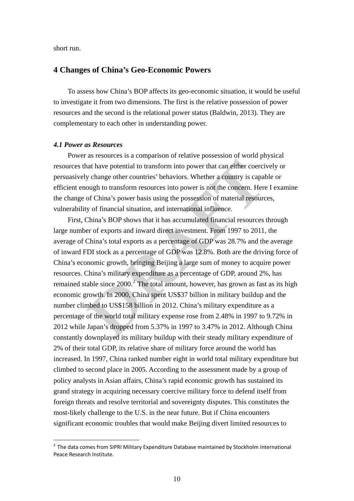short run.

# **4 Changes of China's Geo-Economic Powers**

To assess how China's BOP affects its geo-economic situation, it would be useful to investigate it from two dimensions. The first is the relative possession of power resources and the second is the relational power status (Baldwin, 2013). They are complementary to each other in understanding power.

#### *4.1 Power as Resources*

 Power as resources is a comparison of relative possession of world physical resources that have potential to transform into power that can either coercively or persuasively change other countries' behaviors. Whether a country is capable or efficient enough to transform resources into power is not the concern. Here I examine the change of China's power basis using the possession of material resources, vulnerability of financial situation, and international influence.

**Short run.<br>
<b>Changes of China's Geo-Economic Powers**<br>
To see stable them a ROP affects its geo-economic situation, it would be useful<br>
to investigate it from two dimensions. The first is the relative prosession of power<br> First, China's BOP shows that it has accumulated financial resources through large number of exports and inward direct investment. From 1997 to 2011, the average of China's total exports as a percentage of GDP was 28.7% and the average of inward FDI stock as a percentage of GDP was 12.8%. Both are the driving force of China's economic growth, bringing Beijing a large sum of money to acquire power resources. China's military expenditure as a percentage of GDP, around 2%, has remained stable since  $2000$ .<sup>2</sup> The total amount, however, has grown as fast as its high economic growth. In 2000, China spent US\$37 billion in military buildup and the number climbed to US\$158 billion in 2012. China's military expenditure as a percentage of the world total military expense rose from 2.48% in 1997 to 9.72% in 2012 while Japan's dropped from 5.37% in 1997 to 3.47% in 2012. Although China constantly downplayed its military buildup with their steady military expenditure of 2% of their total GDP, its relative share of military force around the world has increased. In 1997, China ranked number eight in world total military expenditure but climbed to second place in 2005. According to the assessment made by a group of policy analysts in Asian affairs, China's rapid economic growth has sustained its grand strategy in acquiring necessary coercive military force to defend itself from foreign threats and resolve territorial and sovereignty disputes. This constitutes the most-likely challenge to the U.S. in the near future. But if China encounters significant economic troubles that would make Beijing divert limited resources to

<span id="page-9-0"></span> $2$  The data comes from SIPRI Military Expenditure Database maintained by Stockholm International Peace Research Institute.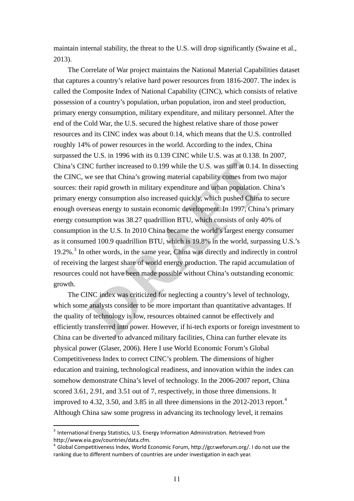maintain internal stability, the threat to the U.S. will drop significantly (Swaine et al., 2013).

maintain internal stability, the threat to the U.S. will drop significantly (Swaine et al., 2013),<br>
The Corelator of War project maintains the National Material Capabilities dataset<br>
The Corelator of War project maintains The Correlate of War project maintains the National Material Capabilities dataset that captures a country's relative hard power resources from 1816-2007. The index is called the Composite Index of National Capability (CINC), which consists of relative possession of a country's population, urban population, iron and steel production, primary energy consumption, military expenditure, and military personnel. After the end of the Cold War, the U.S. secured the highest relative share of those power resources and its CINC index was about 0.14, which means that the U.S. controlled roughly 14% of power resources in the world. According to the index, China surpassed the U.S. in 1996 with its 0.139 CINC while U.S. was at 0.138. In 2007, China's CINC further increased to 0.199 while the U.S. was still at 0.14. In dissecting the CINC, we see that China's growing material capability comes from two major sources: their rapid growth in military expenditure and urban population. China's primary energy consumption also increased quickly, which pushed China to secure enough overseas energy to sustain economic development. In 1997, China's primary energy consumption was 38.27 quadrillion BTU, which consists of only 40% of consumption in the U.S. In 2010 China became the world's largest energy consumer as it consumed 100.9 quadrillion BTU, which is 19.8% in the world, surpassing U.S.'s 19.2%.<sup>3</sup> In other words, in the same year, China was directly and indirectly in control of receiving the largest share of world energy production. The rapid accumulation of resources could not have been made possible without China's outstanding economic growth.

 The CINC index was criticized for neglecting a country's level of technology, which some analysts consider to be more important than quantitative advantages. If the quality of technology is low, resources obtained cannot be effectively and efficiently transferred into power. However, if hi-tech exports or foreign investment to China can be diverted to advanced military facilities, China can further elevate its physical power (Glaser, 2006). Here I use World Economic Forum's Global Competitiveness Index to correct CINC's problem. The dimensions of higher education and training, technological readiness, and innovation within the index can somehow demonstrate China's level of technology. In the 2006-2007 report, China scored 3.61, 2.91, and 3.51 out of 7, respectively, in those three dimensions. It improved to [4](#page-10-1).32, 3.50, and 3.85 in all three dimensions in the 2012-2013 report.<sup>4</sup> Although China saw some progress in advancing its technology level, it remains

<span id="page-10-0"></span><sup>&</sup>lt;sup>3</sup> International Energy Statistics, U.S. Energy Information Administration. Retrieved from http://www.eia.gov/countries/data.cfm.

<span id="page-10-1"></span> $^4$  Global Competitiveness Index, World Economic Forum, http://gcr.weforum.org/. I do not use the ranking due to different numbers of countries are under investigation in each year.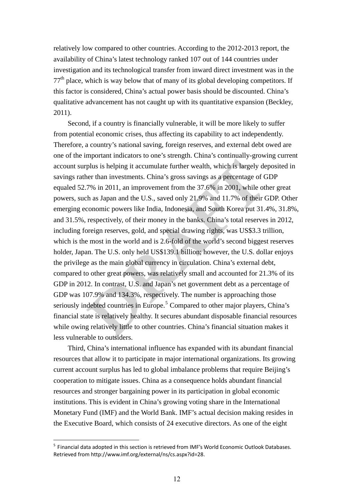relatively low compared to other countries. According to the 2012-2013 report, the availability of China's latest technology ranked 107 out of 144 countries under investigation and its technological transfer from inward direct investment was in the  $77<sup>th</sup>$  place, which is way below that of many of its global developing competitors. If this factor is considered, China's actual power basis should be discounted. China's qualitative advancement has not caught up with its quantitative expansion (Beckley, 2011).

relatively low compared to other coomtries. According to the 2012-2013 report, the availability of Christophe Christophe make involve provide 10 con of 144 contributes under investigation and its rechnological transfer fro Second, if a country is financially vulnerable, it will be more likely to suffer from potential economic crises, thus affecting its capability to act independently. Therefore, a country's national saving, foreign reserves, and external debt owed are one of the important indicators to one's strength. China's continually-growing current account surplus is helping it accumulate further wealth, which is largely deposited in savings rather than investments. China's gross savings as a percentage of GDP equaled 52.7% in 2011, an improvement from the 37.6% in 2001, while other great powers, such as Japan and the U.S., saved only 21.9% and 11.7% of their GDP. Other emerging economic powers like India, Indonesia, and South Korea put 31.4%, 31.8%, and 31.5%, respectively, of their money in the banks. China's total reserves in 2012, including foreign reserves, gold, and special drawing rights, was US\$3.3 trillion, which is the most in the world and is 2.6-fold of the world's second biggest reserves holder, Japan. The U.S. only held US\$139.1 billion; however, the U.S. dollar enjoys the privilege as the main global currency in circulation. China's external debt, compared to other great powers, was relatively small and accounted for 21.3% of its GDP in 2012. In contrast, U.S. and Japan's net government debt as a percentage of GDP was 107.9% and 134.3%, respectively. The number is approaching those seriously indebted countries in Europe.<sup>5</sup> Compared to other major players, China's financial state is relatively healthy. It secures abundant disposable financial resources while owing relatively little to other countries. China's financial situation makes it less vulnerable to outsiders.

> Third, China's international influence has expanded with its abundant financial resources that allow it to participate in major international organizations. Its growing current account surplus has led to global imbalance problems that require Beijing's cooperation to mitigate issues. China as a consequence holds abundant financial resources and stronger bargaining power in its participation in global economic institutions. This is evident in China's growing voting share in the International Monetary Fund (IMF) and the World Bank. IMF's actual decision making resides in the Executive Board, which consists of 24 executive directors. As one of the eight

<span id="page-11-0"></span><sup>&</sup>lt;sup>5</sup> Financial data adopted in this section is retrieved from IMF's World Economic Outlook Databases. Retrieved from http://www.imf.org/external/ns/cs.aspx?id=28.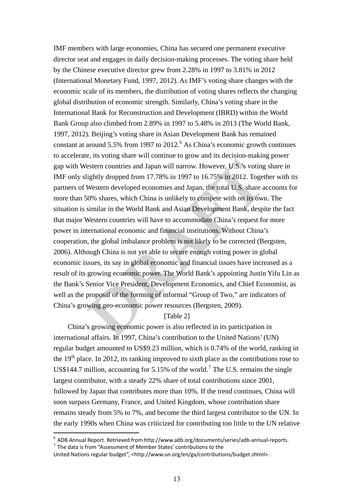**IMF** members with large economies, China has secured one pennaneat executive director set and engages in daily decision maticipy processs. The voiring share held by the Chinese executive director gow from 2.28% in 1997 to IMF members with large economies, China has secured one permanent executive director seat and engages in daily decision-making processes. The voting share held by the Chinese executive director grew from 2.28% in 1997 to 3.81% in 2012 (International Monetary Fund, 1997, 2012). As IMF's voting share changes with the economic scale of its members, the distribution of voting shares reflects the changing global distribution of economic strength. Similarly, China's voting share in the International Bank for Reconstruction and Development (IBRD) within the World Bank Group also climbed from 2.89% in 1997 to 5.48% in 2013 (The World Bank, 1997, 2012). Beijing's voting share in Asian Development Bank has remained constant at around  $5.5\%$  from 1997 to 2012.<sup>6</sup> As China's economic growth continues to accelerate, its voting share will continue to grow and its decision-making power gap with Western countries and Japan will narrow. However, U.S.'s voting share in IMF only slightly dropped from 17.78% in 1997 to 16.75% in 2012. Together with its partners of Western developed economies and Japan, the total U.S. share accounts for more than 50% shares, which China is unlikely to compete with on its own. The situation is similar in the World Bank and Asian Development Bank, despite the fact that major Western countries will have to accommodate China's request for more power in international economic and financial institutions. Without China's cooperation, the global imbalance problem is not likely to be corrected (Bergsten, 2006). Although China is not yet able to secure enough voting power in global economic issues, its say in global economic and financial issues have increased as a result of its growing economic power. The World Bank's appointing Justin Yifu Lin as the Bank's Senior Vice President, Development Economics, and Chief Economist, as well as the proposal of the forming of informal "Group of Two," are indicators of China's growing geo-economic power resources (Bergsten, 2009).

# [Table 2]

 China's growing economic power is also reflected in its participation in international affairs. In 1997, China's contribution to the United Nations' (UN) regular budget amounted to US\$9.23 million, which is 0.74% of the world, ranking in the  $19<sup>th</sup>$  place. In 2012, its ranking improved to sixth place as the contributions rose to US\$144.[7](#page-12-1) million, accounting for 5.15% of the world.<sup>7</sup> The U.S. remains the single largest contributor, with a steady 22% share of total contributions since 2001, followed by Japan that contributes more than 10%. If the trend continues, China will soon surpass Germany, France, and United Kingdom, whose contribution share remains steady from 5% to 7%, and become the third largest contributor to the UN. In the early 1990s when China was criticized for contributing too little to the UN relative

<span id="page-12-0"></span><sup>&</sup>lt;sup>6</sup> ADB Annual Report. Retrieved from http://www.adb.org/documents/series/adb-annual-reports.<br><sup>7</sup> The data is from "Assessment of Member States' contributions to the

<span id="page-12-1"></span>United Nations regular budget", <http://www.un.org/en/ga/contributions/budget.shtml>.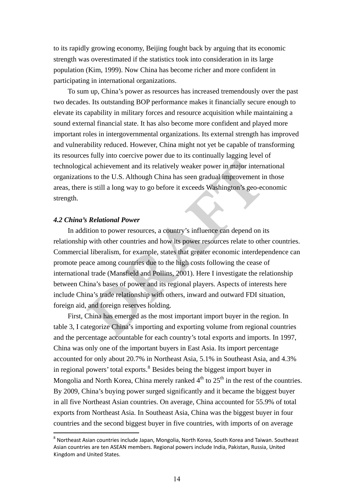to its rapidly growing economy, Beijing fought back by arguing that its economic strength was overestimated if the statistics took into consideration in its large population (Kim, 1999). Now China has become richer and more confident in participating in international organizations.

to its rapidly growing economy, Beijing fought back by arguing that its economic<br>several was overestimated if the statistics took into consideration in its large<br>population (Kim., 1969). Now China has become richer and mor To sum up, China's power as resources has increased tremendously over the past two decades. Its outstanding BOP performance makes it financially secure enough to elevate its capability in military forces and resource acquisition while maintaining a sound external financial state. It has also become more confident and played more important roles in intergovernmental organizations. Its external strength has improved and vulnerability reduced. However, China might not yet be capable of transforming its resources fully into coercive power due to its continually lagging level of technological achievement and its relatively weaker power in major international organizations to the U.S. Although China has seen gradual improvement in those areas, there is still a long way to go before it exceeds Washington's geo-economic strength.

## *4.2 China's Relational Power*

In addition to power resources, a country's influence can depend on its relationship with other countries and how its power resources relate to other countries. Commercial liberalism, for example, states that greater economic interdependence can promote peace among countries due to the high costs following the cease of international trade (Mansfield and Pollins, 2001). Here I investigate the relationship between China's bases of power and its regional players. Aspects of interests here include China's trade relationship with others, inward and outward FDI situation, foreign aid, and foreign reserves holding.

First, China has emerged as the most important import buyer in the region. In table 3, I categorize China's importing and exporting volume from regional countries and the percentage accountable for each country's total exports and imports. In 1997, China was only one of the important buyers in East Asia. Its import percentage accounted for only about 20.7% in Northeast Asia, 5.1% in Southeast Asia, and 4.3% in regional powers' total exports. $8$  Besides being the biggest import buyer in Mongolia and North Korea, China merely ranked  $4<sup>th</sup>$  to  $25<sup>th</sup>$  in the rest of the countries. By 2009, China's buying power surged significantly and it became the biggest buyer in all five Northeast Asian countries. On average, China accounted for 55.9% of total exports from Northeast Asia. In Southeast Asia, China was the biggest buyer in four countries and the second biggest buyer in five countries, with imports of on average

<span id="page-13-0"></span><sup>8</sup> Northeast Asian countries include Japan, Mongolia, North Korea, South Korea and Taiwan. Southeast Asian countries are ten ASEAN members. Regional powers include India, Pakistan, Russia, United Kingdom and United States.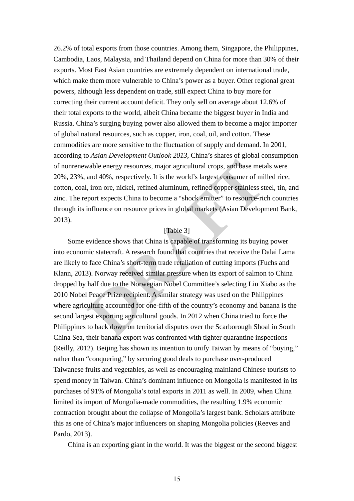26.2% of fould exports from those countries. Among them, Singapore, the Philippine,<br>Cambosh, 1, aos, Mohayan, and Thaland degred on China for nonce than 30% of their<br>expons. Most Fast Asian contricts are extremely dependen 26.2% of total exports from those countries. Among them, Singapore, the Philippines, Cambodia, Laos, Malaysia, and Thailand depend on China for more than 30% of their exports. Most East Asian countries are extremely dependent on international trade, which make them more vulnerable to China's power as a buyer. Other regional great powers, although less dependent on trade, still expect China to buy more for correcting their current account deficit. They only sell on average about 12.6% of their total exports to the world, albeit China became the biggest buyer in India and Russia. China's surging buying power also allowed them to become a major importer of global natural resources, such as copper, iron, coal, oil, and cotton. These commodities are more sensitive to the fluctuation of supply and demand. In 2001, according to *Asian Development Outlook 2013*, China's shares of global consumption of nonrenewable energy resources, major agricultural crops, and base metals were 20%, 23%, and 40%, respectively. It is the world's largest consumer of milled rice, cotton, coal, iron ore, nickel, refined aluminum, refined copper stainless steel, tin, and zinc. The report expects China to become a "shock emitter" to resource-rich countries through its influence on resource prices in global markets (Asian Development Bank, 2013).

## [Table 3]

Some evidence shows that China is capable of transforming its buying power into economic statecraft. A research found that countries that receive the Dalai Lama are likely to face China's short-term trade retaliation of cutting imports (Fuchs and Klann, 2013). Norway received similar pressure when its export of salmon to China dropped by half due to the Norwegian Nobel Committee's selecting Liu Xiabo as the 2010 Nobel Peace Prize recipient. A similar strategy was used on the Philippines where agriculture accounted for one-fifth of the country's economy and banana is the second largest exporting agricultural goods. In 2012 when China tried to force the Philippines to back down on territorial disputes over the Scarborough Shoal in South China Sea, their banana export was confronted with tighter quarantine inspections (Reilly, 2012). Beijing has shown its intention to unify Taiwan by means of "buying," rather than "conquering," by securing good deals to purchase over-produced Taiwanese fruits and vegetables, as well as encouraging mainland Chinese tourists to spend money in Taiwan. China's dominant influence on Mongolia is manifested in its purchases of 91% of Mongolia's total exports in 2011 as well. In 2009, when China limited its import of Mongolia-made commodities, the resulting 1.9% economic contraction brought about the collapse of Mongolia's largest bank. Scholars attribute this as one of China's major influencers on shaping Mongolia policies (Reeves and Pardo, 2013).

China is an exporting giant in the world. It was the biggest or the second biggest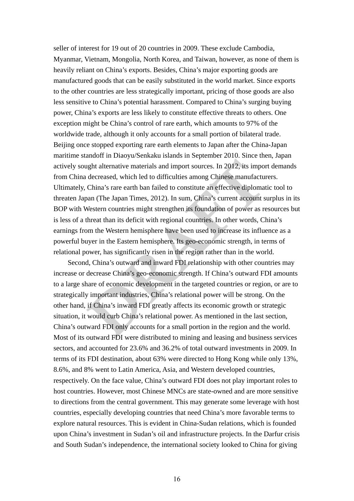seller of interest for 19 out of 20 countries in 2009. These exclude Cambodia,<br>Myannar, Ventan, Mongolia, Nonh Korea, and Toiwan, however, as once of them is<br>heavily reliant on China's exports. Resides, China's major expo seller of interest for 19 out of 20 countries in 2009. These exclude Cambodia, Myanmar, Vietnam, Mongolia, North Korea, and Taiwan, however, as none of them is heavily reliant on China's exports. Besides, China's major exporting goods are manufactured goods that can be easily substituted in the world market. Since exports to the other countries are less strategically important, pricing of those goods are also less sensitive to China's potential harassment. Compared to China's surging buying power, China's exports are less likely to constitute effective threats to others. One exception might be China's control of rare earth, which amounts to 97% of the worldwide trade, although it only accounts for a small portion of bilateral trade. Beijing once stopped exporting rare earth elements to Japan after the China-Japan maritime standoff in Diaoyu/Senkaku islands in September 2010. Since then, Japan actively sought alternative materials and import sources. In 2012, its import demands from China decreased, which led to difficulties among Chinese manufacturers. Ultimately, China's rare earth ban failed to constitute an effective diplomatic tool to threaten Japan (The Japan Times, 2012). In sum, China's current account surplus in its BOP with Western countries might strengthen its foundation of power as resources but is less of a threat than its deficit with regional countries. In other words, China's earnings from the Western hemisphere have been used to increase its influence as a powerful buyer in the Eastern hemisphere. Its geo-economic strength, in terms of relational power, has significantly risen in the region rather than in the world.

Second, China's outward and inward FDI relationship with other countries may increase or decrease China's geo-economic strength. If China's outward FDI amounts to a large share of economic development in the targeted countries or region, or are to strategically important industries, China's relational power will be strong. On the other hand, if China's inward FDI greatly affects its economic growth or strategic situation, it would curb China's relational power. As mentioned in the last section, China's outward FDI only accounts for a small portion in the region and the world. Most of its outward FDI were distributed to mining and leasing and business services sectors, and accounted for 23.6% and 36.2% of total outward investments in 2009. In terms of its FDI destination, about 63% were directed to Hong Kong while only 13%, 8.6%, and 8% went to Latin America, Asia, and Western developed countries, respectively. On the face value, China's outward FDI does not play important roles to host countries. However, most Chinese MNCs are state-owned and are more sensitive to directions from the central government. This may generate some leverage with host countries, especially developing countries that need China's more favorable terms to explore natural resources. This is evident in China-Sudan relations, which is founded upon China's investment in Sudan's oil and infrastructure projects. In the Darfur crisis and South Sudan's independence, the international society looked to China for giving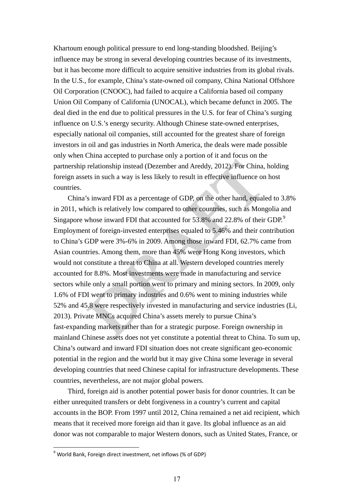**Exhationmentally political pressure to end long-standing bloodsheel. Beijing's influence andy be stoop in several developing contains the state of his investments, but in the H.S., for examples, Chinity charged contained** Khartoum enough political pressure to end long-standing bloodshed. Beijing's influence may be strong in several developing countries because of its investments, but it has become more difficult to acquire sensitive industries from its global rivals. In the U.S., for example, China's state-owned oil company, China National Offshore Oil Corporation (CNOOC), had failed to acquire a California based oil company Union Oil Company of California (UNOCAL), which became defunct in 2005. The deal died in the end due to political pressures in the U.S. for fear of China's surging influence on U.S.'s energy security. Although Chinese state-owned enterprises, especially national oil companies, still accounted for the greatest share of foreign investors in oil and gas industries in North America, the deals were made possible only when China accepted to purchase only a portion of it and focus on the partnership relationship instead (Dezember and Areddy, 2012). For China, holding foreign assets in such a way is less likely to result in effective influence on host countries.

China's inward FDI as a percentage of GDP, on the other hand, equaled to 3.8% in 2011, which is relatively low compared to other countries, such as Mongolia and Singapore whose inward FDI that accounted for 53.8% and 22.8% of their GDP.<sup>9</sup> Employment of foreign-invested enterprises equaled to 5.46% and their contribution to China's GDP were 3%-6% in 2009. Among those inward FDI, 62.7% came from Asian countries. Among them, more than 45% were Hong Kong investors, which would not constitute a threat to China at all. Western developed countries merely accounted for 8.8%. Most investments were made in manufacturing and service sectors while only a small portion went to primary and mining sectors. In 2009, only 1.6% of FDI went to primary industries and 0.6% went to mining industries while 52% and 45.8 were respectively invested in manufacturing and service industries (Li, 2013). Private MNCs acquired China's assets merely to pursue China's fast-expanding markets rather than for a strategic purpose. Foreign ownership in mainland Chinese assets does not yet constitute a potential threat to China. To sum up, China's outward and inward FDI situation does not create significant geo-economic potential in the region and the world but it may give China some leverage in several developing countries that need Chinese capital for infrastructure developments. These countries, nevertheless, are not major global powers.

Third, foreign aid is another potential power basis for donor countries. It can be either unrequited transfers or debt forgiveness in a country's current and capital accounts in the BOP. From 1997 until 2012, China remained a net aid recipient, which means that it received more foreign aid than it gave. Its global influence as an aid donor was not comparable to major Western donors, such as United States, France, or

<span id="page-16-0"></span> $^9$  World Bank, Foreign direct investment, net inflows (% of GDP)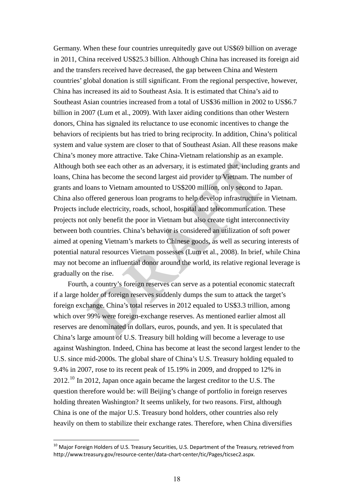Germany. When these four countries unrequiredly gave out US869 billion on average in 2011, China received MSS25. Studion Although China has increased in forest countering and the transfer method and and the transfer and th Germany. When these four countries unrequitedly gave out US\$69 billion on average in 2011, China received US\$25.3 billion. Although China has increased its foreign aid and the transfers received have decreased, the gap between China and Western countries' global donation is still significant. From the regional perspective, however, China has increased its aid to Southeast Asia. It is estimated that China's aid to Southeast Asian countries increased from a total of US\$36 million in 2002 to US\$6.7 billion in 2007 (Lum et al., 2009). With laxer aiding conditions than other Western donors, China has signaled its reluctance to use economic incentives to change the behaviors of recipients but has tried to bring reciprocity. In addition, China's political system and value system are closer to that of Southeast Asian. All these reasons make China's money more attractive. Take China-Vietnam relationship as an example. Although both see each other as an adversary, it is estimated that, including grants and loans, China has become the second largest aid provider to Vietnam. The number of grants and loans to Vietnam amounted to US\$200 million, only second to Japan. China also offered generous loan programs to help develop infrastructure in Vietnam. Projects include electricity, roads, school, hospital and telecommunication. These projects not only benefit the poor in Vietnam but also create tight interconnectivity between both countries. China's behavior is considered an utilization of soft power aimed at opening Vietnam's markets to Chinese goods, as well as securing interests of potential natural resources Vietnam possesses (Lum et al., 2008). In brief, while China may not become an influential donor around the world, its relative regional leverage is gradually on the rise.

Fourth, a country's foreign reserves can serve as a potential economic statecraft if a large holder of foreign reserves suddenly dumps the sum to attack the target's foreign exchange. China's total reserves in 2012 equaled to US\$3.3 trillion, among which over 99% were foreign-exchange reserves. As mentioned earlier almost all reserves are denominated in dollars, euros, pounds, and yen. It is speculated that China's large amount of U.S. Treasury bill holding will become a leverage to use against Washington. Indeed, China has become at least the second largest lender to the U.S. since mid-2000s. The global share of China's U.S. Treasury holding equaled to 9.4% in 2007, rose to its recent peak of 15.19% in 2009, and dropped to 12% in 2012.[10](#page-17-0) In 2012, Japan once again became the largest creditor to the U.S. The question therefore would be: will Beijing's change of portfolio in foreign reserves holding threaten Washington? It seems unlikely, for two reasons. First, although China is one of the major U.S. Treasury bond holders, other countries also rely heavily on them to stabilize their exchange rates. Therefore, when China diversifies

<span id="page-17-0"></span> $10$  Major Foreign Holders of U.S. Treasury Securities, U.S. Department of the Treasury, retrieved from http://www.treasury.gov/resource‐center/data‐chart‐center/tic/Pages/ticsec2.aspx.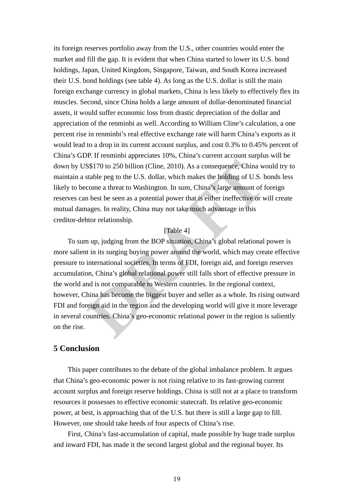its foreign reserves portfolio away from the U.S., other counties would ertier the morker and fill the gap. It is evident that where Cinities standed to bore it is U.S. bond boldings, Ispan, United Kingdom, Singapow, Taiwa its foreign reserves portfolio away from the U.S., other countries would enter the market and fill the gap. It is evident that when China started to lower its U.S. bond holdings, Japan, United Kingdom, Singapore, Taiwan, and South Korea increased their U.S. bond holdings (see table 4). As long as the U.S. dollar is still the main foreign exchange currency in global markets, China is less likely to effectively flex its muscles. Second, since China holds a large amount of dollar-denominated financial assets, it would suffer economic loss from drastic depreciation of the dollar and appreciation of the renminbi as well. According to William Cline's calculation, a one percent rise in renminbi's real effective exchange rate will harm China's exports as it would lead to a drop in its current account surplus, and cost 0.3% to 0.45% percent of China's GDP. If renminbi appreciates 10%, China's current account surplus will be down by US\$170 to 250 billion (Cline, 2010). As a consequence, China would try to maintain a stable peg to the U.S. dollar, which makes the holding of U.S. bonds less likely to become a threat to Washington. In sum, China's large amount of foreign reserves can best be seen as a potential power that is either ineffective or will create mutual damages. In reality, China may not take much advantage in this creditor-debtor relationship.

### [Table 4]

 To sum up, judging from the BOP situation, China's global relational power is more salient in its surging buying power around the world, which may create effective pressure to international societies. In terms of FDI, foreign aid, and foreign reserves accumulation, China's global relational power still falls short of effective pressure in the world and is not comparable to Western countries. In the regional context, however, China has become the biggest buyer and seller as a whole. Its rising outward FDI and foreign aid in the region and the developing world will give it more leverage in several countries. China's geo-economic relational power in the region is saliently on the rise.

# **5 Conclusion**

This paper contributes to the debate of the global imbalance problem. It argues that China's geo-economic power is not rising relative to its fast-growing current account surplus and foreign reserve holdings. China is still not at a place to transform resources it possesses to effective economic statecraft. Its relative geo-economic power, at best, is approaching that of the U.S. but there is still a large gap to fill. However, one should take heeds of four aspects of China's rise.

First, China's fast-accumulation of capital, made possible by huge trade surplus and inward FDI, has made it the second largest global and the regional buyer. Its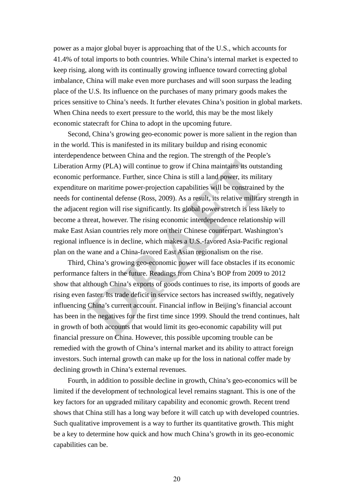power as a major global buyer is approaching that of the U.S., which accounts for 41.4% of total imports to both countries. While China's internal market is expected to keep rising, along with its continually growing influence toward correcting global imbalance, China will make even more purchases and will soon surpass the leading place of the U.S. Its influence on the purchases of many primary goods makes the prices sensitive to China's needs. It further elevates China's position in global markets. When China needs to exert pressure to the world, this may be the most likely economic statecraft for China to adopt in the upcoming future.

power as a major global buyer is approaching that of the U.S., which accounts for 41.4% of feat any cosing computes. Which China's internal more is expected for the principal incomparison (and in the continually growing in Second, China's growing geo-economic power is more salient in the region than in the world. This is manifested in its military buildup and rising economic interdependence between China and the region. The strength of the People's Liberation Army (PLA) will continue to grow if China maintains its outstanding economic performance. Further, since China is still a land power, its military expenditure on maritime power-projection capabilities will be constrained by the needs for continental defense (Ross, 2009). As a result, its relative military strength in the adjacent region will rise significantly. Its global power stretch is less likely to become a threat, however. The rising economic interdependence relationship will make East Asian countries rely more on their Chinese counterpart. Washington's regional influence is in decline, which makes a U.S.-favored Asia-Pacific regional plan on the wane and a China-favored East Asian regionalism on the rise.

Third, China's growing geo-economic power will face obstacles if its economic performance falters in the future. Readings from China's BOP from 2009 to 2012 show that although China's exports of goods continues to rise, its imports of goods are rising even faster. Its trade deficit in service sectors has increased swiftly, negatively influencing China's current account. Financial inflow in Beijing's financial account has been in the negatives for the first time since 1999. Should the trend continues, halt in growth of both accounts that would limit its geo-economic capability will put financial pressure on China. However, this possible upcoming trouble can be remedied with the growth of China's internal market and its ability to attract foreign investors. Such internal growth can make up for the loss in national coffer made by declining growth in China's external revenues.

Fourth, in addition to possible decline in growth, China's geo-economics will be limited if the development of technological level remains stagnant. This is one of the key factors for an upgraded military capability and economic growth. Recent trend shows that China still has a long way before it will catch up with developed countries. Such qualitative improvement is a way to further its quantitative growth. This might be a key to determine how quick and how much China's growth in its geo-economic capabilities can be.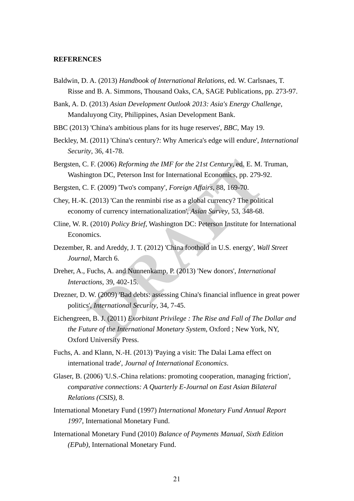#### **REFERENCES**

Baldwin, D. A. (2013) *Handbook of International Relations*, ed. W. Carlsnaes, T. Risse and B. A. Simmons, Thousand Oaks, CA, SAGE Publications, pp. 273-97.

Bank, A. D. (2013) *Asian Development Outlook 2013: Asia's Energy Challenge*, Mandaluyong City, Philippines, Asian Development Bank.

- BBC (2013) 'China's ambitious plans for its huge reserves', *BBC*, May 19.
- Beckley, M. (2011) 'China's century?: Why America's edge will endure', *International Security*, 36, 41-78.
- Bergsten, C. F. (2006) *Reforming the IMF for the 21st Century*, ed. E. M. Truman, Washington DC, Peterson Inst for International Economics, pp. 279-92.
- Bergsten, C. F. (2009) 'Two's company', *Foreign Affairs*, 88, 169-70.
- Chey, H.-K. (2013) 'Can the renminbi rise as a global currency? The political economy of currency internationalization', *Asian Survey*, 53, 348-68.
- Cline, W. R. (2010) *Policy Brief*, Washington DC: Peterson Institute for International Economics.
- Dezember, R. and Areddy, J. T. (2012) 'China foothold in U.S. energy', *Wall Street Journal*, March 6.
- Dreher, A., Fuchs, A. and Nunnenkamp, P. (2013) 'New donors', *International Interactions*, 39, 402-15.
- Drezner, D. W. (2009) 'Bad debts: assessing China's financial influence in great power politics', *International Security*, 34, 7-45.
- **REFRENCES**<br> **Baldwin, D. A. (2013)** *Hondhook of Juannational Relations***, ed. W. Carlsmas, T.<br>
Basic and B. A. Simmons, Transand Chick, CA, AS(CF Pahlictations, pp. 273-97.<br>
Bank, A. D. (2013)** *Asican Development Outlook 2* Eichengreen, B. J. (2011) *Exorbitant Privilege : The Rise and Fall of The Dollar and the Future of the International Monetary System*, Oxford ; New York, NY, Oxford University Press.
	- Fuchs, A. and Klann, N.-H. (2013) 'Paying a visit: The Dalai Lama effect on international trade', *Journal of International Economics*.
	- Glaser, B. (2006) 'U.S.-China relations: promoting cooperation, managing friction', *comparative connections: A Quarterly E-Journal on East Asian Bilateral Relations (CSIS)*, 8.
	- International Monetary Fund (1997) *International Monetary Fund Annual Report 1997*, International Monetary Fund.
	- International Monetary Fund (2010) *Balance of Payments Manual, Sixth Edition (EPub)*, International Monetary Fund.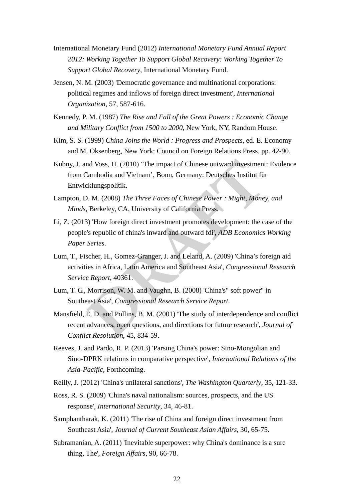- International Monetary Fund (2012) *International Monetary Fund Annual Report 2012: Working Together To Support Global Recovery: Working Together To Support Global Recovery*, International Monetary Fund.
- Jensen, N. M. (2003) 'Democratic governance and multinational corporations: political regimes and inflows of foreign direct investment', *International Organization*, 57, 587-616.
- Kennedy, P. M. (1987) *The Rise and Fall of the Great Powers : Economic Change and Military Conflict from 1500 to 2000*, New York, NY, Random House.
- Kim, S. S. (1999) *China Joins the World : Progress and Prospects*, ed. E. Economy and M. Oksenberg, New York: Council on Foreign Relations Press, pp. 42-90.
- International Monetary Fund (2012) *International Monetary Fund Amoual Report*<br>2012: Working Together To Support Global Recovery, Working Together To<br>3 Support Global Recovery, International Volveraty Fund.<br>2<br>Instead, Newt Kubny, J. and Voss, H. (2010) 'The impact of Chinese outward investment: Evidence from Cambodia and Vietnam', Bonn, Germany: Deutsches Institut für Entwicklungspolitik.
	- Lampton, D. M. (2008) *The Three Faces of Chinese Power : Might, Money, and Minds*, Berkeley, CA, University of California Press.
	- Li, Z. (2013) 'How foreign direct investment promotes development: the case of the people's republic of china's inward and outward fdi', *ADB Economics Working Paper Series*.
	- Lum, T., Fischer, H., Gomez-Granger, J. and Leland, A. (2009) 'China's foreign aid activities in Africa, Latin America and Southeast Asia', *Congressional Research Service Report*, 40361.
	- Lum, T. G., Morrison, W. M. and Vaughn, B. (2008) 'China's" soft power" in Southeast Asia', *Congressional Research Service Report*.
	- Mansfield, E. D. and Pollins, B. M. (2001) 'The study of interdependence and conflict recent advances, open questions, and directions for future research', *Journal of Conflict Resolution*, 45, 834-59.
	- Reeves, J. and Pardo, R. P. (2013) 'Parsing China's power: Sino-Mongolian and Sino-DPRK relations in comparative perspective', *International Relations of the Asia-Pacific*, Forthcoming.
	- Reilly, J. (2012) 'China's unilateral sanctions', *The Washington Quarterly*, 35, 121-33.
	- Ross, R. S. (2009) 'China's naval nationalism: sources, prospects, and the US response', *International Security*, 34, 46-81.
	- Samphantharak, K. (2011) 'The rise of China and foreign direct investment from Southeast Asia', *Journal of Current Southeast Asian Affairs*, 30, 65-75.
	- Subramanian, A. (2011) 'Inevitable superpower: why China's dominance is a sure thing, The', *Foreign Affairs*, 90, 66-78.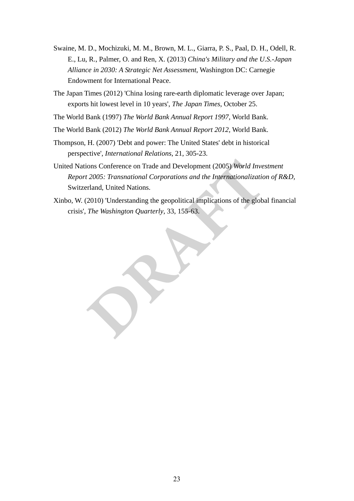- Swaine, M. D., Mochinzki, M. M., Brown, M. L., Giarra, P. S., Paul. D. H., Odell, R.<br>F., L., D., Paulare, O., and Rea, X. (2014) *Chinze*, *Milliarcy and the U.S. Argumental due U.S.*,  $\alpha$ , Paulare, O. and *R. R. Chinzy M* Swaine, M. D., Mochizuki, M. M., Brown, M. L., Giarra, P. S., Paal, D. H., Odell, R. E., Lu, R., Palmer, O. and Ren, X. (2013) *China's Military and the U.S.-Japan Alliance in 2030: A Strategic Net Assessment*, Washington DC: Carnegie Endowment for International Peace.
	- The Japan Times (2012) 'China losing rare-earth diplomatic leverage over Japan; exports hit lowest level in 10 years', *The Japan Times*, October 25.
	- The World Bank (1997) *The World Bank Annual Report 1997,* World Bank.
	- The World Bank (2012) *The World Bank Annual Report 2012,* World Bank.
	- Thompson, H. (2007) 'Debt and power: The United States' debt in historical perspective', *International Relations*, 21, 305-23.
	- United Nations Conference on Trade and Development (2005) *World Investment Report 2005: Transnational Corporations and the Internationalization of R&D,* Switzerland, United Nations.
	- Xinbo, W. (2010) 'Understanding the geopolitical implications of the global financial crisis', *The Washington Quarterly*, 33, 155-63.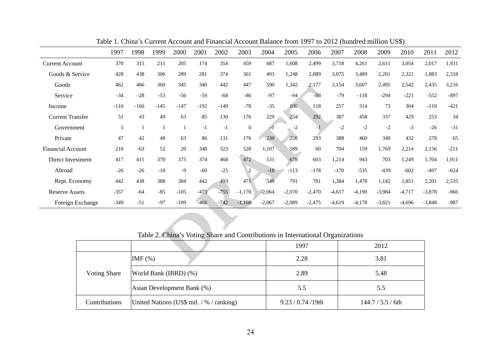|                          |  | Table 1. China's Current Account and Financial Account Balance from 1997 to 2012 (hundred million US\$) |        |        |        |        |        |                  |          |                                                                                |          |          |          |          |          |          |        |
|--------------------------|--|---------------------------------------------------------------------------------------------------------|--------|--------|--------|--------|--------|------------------|----------|--------------------------------------------------------------------------------|----------|----------|----------|----------|----------|----------|--------|
|                          |  | 1997                                                                                                    | 1998   | 1999   | 2000   | 2001   | 2002   | 2003             | 2004     | 2005                                                                           | 2006     | 2007     | 2008     | 2009     | 2010     | 2011     | 2012   |
| <b>Current Account</b>   |  | 370                                                                                                     | 315    | 211    | 205    | 174    | 354    | 459              | 687      | 1,608                                                                          | 2,499    | 3,718    | 4,261    | 2,611    | 3,054    | 2,017    | 1,931  |
| Goods & Service          |  | 428                                                                                                     | 438    | 306    | 289    | 281    | 374    | 361              | 493      | 1,248                                                                          | 2,089    | 3,075    | 3,489    | 2,201    | 2,321    | 1,883    | 2,318  |
| Goods                    |  | 462                                                                                                     | 466    | 360    | 345    | 340    | 442    | 447              | 590      | 1,342                                                                          | 2,177    | 3,154    | 3,607    | 2,495    | 2,542    | 2,435    | 3,216  |
| Service                  |  | $-34$                                                                                                   | $-28$  | $-53$  | -56    | $-59$  | $-68$  | $-86$            | $-97$    | -94                                                                            | $-88$    | $-79$    | $-118$   | $-294$   | $-221$   | $-552$   | $-897$ |
| Income                   |  | $-110$                                                                                                  | $-166$ | $-145$ | -147   | $-192$ | -149   | $-78$            | $-35$    | 106                                                                            | 118      | 257      | 314      | 73       | 304      | $-119$   | $-421$ |
| <b>Current Transfer</b>  |  | 51                                                                                                      | 43     | 49     | 63     | 85     | 130    | 176              | 229      | 254                                                                            | 292      | 387      | 458      | 337      | 429      | 253      | 34     |
| Government               |  | 5                                                                                                       | -1     | 1      | -1     | $-1$   | $-1$   | $\boldsymbol{0}$ | $-1$     | $-2$                                                                           | $-1$     | $-2$     | $-2$     | $-2$     | $-3$     | $-26$    | $-31$  |
| Private                  |  | 47                                                                                                      | 42     | 48     | 63     | 86     | 131    | 176              | 230      | 256                                                                            | 293      | 388      | 460      | 340      | 432      | 278      | 65     |
| <b>Financial Account</b> |  | 210                                                                                                     | $-63$  | 52     | 20     | 348    | 323    | 528              | 1,107    | 589                                                                            | 60       | 704      | 159      | 1,769    | 2,214    | 2,156    | $-211$ |
| Direct Investment        |  | 417                                                                                                     | 411    | 370    | 375    | 374    | 468    | 472              | 531      | 678                                                                            | 603      | 1,214    | 943      | 703      | 1,249    | 1,704    | 1,911  |
| Abroad                   |  | $-26$                                                                                                   | $-26$  | $-18$  | $-9$   | $-69$  | $-25$  | $\overline{2}$   | $-18$    | $-113$                                                                         | $-178$   | $-170$   | $-535$   | $-439$   | $-602$   | $-497$   | $-624$ |
| Rept. Economy            |  | 442                                                                                                     | 438    | 388    | 384    | 442    | 493    | 471              | 549      | 791                                                                            | 781      | 1,384    | 1,478    | 1,142    | 1,851    | 2,201    | 2,535  |
| <b>Reserve Assets</b>    |  | $-357$                                                                                                  | $-64$  | $-85$  | $-105$ | $-473$ | $-755$ | $-1,170$         | $-2,064$ | $-2,070$                                                                       | $-2,470$ | $-4,617$ | $-4,190$ | $-3,984$ | $-4,717$ | $-3,878$ | $-966$ |
| Foreign Exchange         |  | $-349$                                                                                                  | $-51$  | $-97$  | $-109$ | $-466$ | $-742$ | $-1,168$         | $-2,067$ | $-2,089$                                                                       | $-2,475$ | $-4,619$ | $-4,178$ | $-3,821$ | $-4,696$ | $-3,848$ | $-987$ |
|                          |  |                                                                                                         |        |        |        |        |        |                  |          |                                                                                |          |          |          |          |          |          |        |
|                          |  |                                                                                                         |        |        |        |        |        |                  |          |                                                                                |          |          |          |          |          |          |        |
|                          |  |                                                                                                         |        |        |        |        |        |                  |          | Table 2. China's Voting Share and Contributions in International Organizations |          |          |          |          |          |          |        |
|                          |  |                                                                                                         |        |        |        |        |        |                  |          | 1997                                                                           |          |          |          | 2012     |          |          |        |
|                          |  |                                                                                                         | IMF(%) |        |        |        |        |                  |          |                                                                                | 2.28     |          |          | 3.81     |          |          |        |

|                     | Table 2. China's voting Share and Contributions in International Organizations |                       |                   |
|---------------------|--------------------------------------------------------------------------------|-----------------------|-------------------|
|                     |                                                                                | 1997                  | 2012              |
|                     | $IMF$ $%$                                                                      | 2.28                  | 3.81              |
| <b>Voting Share</b> | World Bank (IBRD) (%)                                                          | 2.89                  | 5.48              |
|                     | Asian Development Bank (%)                                                     | 5.5                   | 5.5               |
| Contributions       | United Nations (US\$ mil. / % / ranking)                                       | $9.23 / 0.74 / 19$ th | 144.7 / 5.5 / 6th |

Table 2. China's Voting Share and Contributions in International Organizations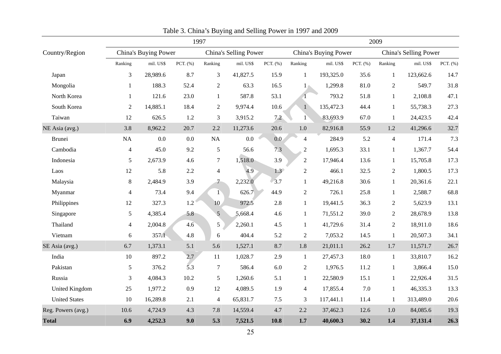|                         |                   |                                                                                                           |             |                     | Table 3. China's Buying and Selling Power in 1997 and 2009 |               |                                               |                  |              |                                |                    |              |  |  |
|-------------------------|-------------------|-----------------------------------------------------------------------------------------------------------|-------------|---------------------|------------------------------------------------------------|---------------|-----------------------------------------------|------------------|--------------|--------------------------------|--------------------|--------------|--|--|
|                         | 1997              |                                                                                                           |             |                     |                                                            |               |                                               |                  |              | 2009                           |                    |              |  |  |
| Country/Region          |                   | China's Buying Power<br>China's Selling Power<br>mil. US\$<br>PCT. (%)<br>mil. US\$<br>Ranking<br>Ranking |             |                     |                                                            |               | China's Buying Power<br>China's Selling Power |                  |              |                                |                    |              |  |  |
|                         |                   |                                                                                                           |             |                     |                                                            | PCT. (%)      | Ranking                                       | mil. US\$        | PCT. (%)     | Ranking                        | mil. US\$          | PCT. (%)     |  |  |
| Japan                   | 3                 | 28,989.6<br>188.3                                                                                         | 8.7<br>52.4 | 3                   | 41,827.5                                                   | 15.9          | 1                                             | 193,325.0        | 35.6<br>81.0 | 1                              | 123,662.6<br>549.7 | 14.7<br>31.8 |  |  |
| Mongolia<br>North Korea | $\mathbf{1}$<br>1 | 121.6                                                                                                     | 23.0        | $\mathfrak{2}$<br>1 | 63.3<br>587.8                                              | 16.5<br>53.1  |                                               | 1,299.8<br>793.2 | 51.8         | $\overline{2}$<br>$\mathbf{1}$ | 2,108.8            | 47.1         |  |  |
| South Korea             | $\overline{2}$    | 14,885.1                                                                                                  | 18.4        | 2                   | 9,974.4                                                    | 10.6          |                                               | 135,472.3        | 44.4         | $\mathbf{1}$                   | 55,738.3           | 27.3         |  |  |
| Taiwan                  | 12                | 626.5                                                                                                     | 1.2         | 3                   | 3,915.2                                                    | 7.2           |                                               | 83,693.9         | 67.0         | 1                              | 24,423.5           | 42.4         |  |  |
| NE Asia (avg.)          | 3.8               | 8,962.2                                                                                                   | 20.7        | 2.2                 | 11,273.6                                                   | 20.6          | $1.0\,$                                       | 82,916.8         | 55.9         | 1.2                            | 41,296.6           | 32.7         |  |  |
| Brunei                  | NA                | 0.0                                                                                                       | 0.0         | NA                  | $0.0\,$                                                    | 0.0           | $\overline{4}$                                | 284.9            | 5.2          | 4                              | 171.4              | 7.3          |  |  |
| Cambodia                | $\overline{4}$    | 45.0                                                                                                      | 9.2         | 5                   | 56.6                                                       | 7.3           | $\overline{2}$                                | 1,695.3          | 33.1         | 1                              | 1,367.7            | 54.4         |  |  |
| Indonesia               | 5                 | 2,673.9                                                                                                   | 4.6         | $\tau$              | 1,518.0                                                    | 3.9           | $\overline{2}$                                | 17,946.4         | 13.6         | 1                              | 15,705.8           | 17.3         |  |  |
| Laos                    | $12\,$            | 5.8                                                                                                       | 2.2         | $\overline{4}$      | 4.9                                                        | $1.3^{\circ}$ | $\mathbf{2}$                                  | 466.1            | 32.5         | $\overline{2}$                 | 1,800.5            | 17.3         |  |  |
| Malaysia                | $8\,$             | 2,484.9                                                                                                   | 3.9         |                     | 2,232.0                                                    | 3.7           | $\mathbf{1}$                                  | 49,216.8         | 30.6         | $\mathbf{1}$                   | 20,361.6           | 22.1         |  |  |
| Myanmar                 | $\overline{4}$    | 73.4                                                                                                      | 9.4         | $\ket{1}$           | 626.7                                                      | 44.9          | $\overline{2}$                                | 726.1            | 25.8         | $\mathbf{1}$                   | 2,588.7            | 68.8         |  |  |
| Philippines             | 12                | 327.3                                                                                                     | 1.2         | 10 <sub>1</sub>     | 972.5                                                      | $2.8\,$       | $\mathbf{1}$                                  | 19,441.5         | 36.3         | $\overline{2}$                 | 5,623.9            | 13.1         |  |  |
| Singapore               | 5                 | 4,385.4                                                                                                   | 5.8         | 5                   | 5,668.4                                                    | 4.6           | $\mathbf{1}$                                  | 71,551.2         | 39.0         | $\overline{2}$                 | 28,678.9           | 13.8         |  |  |
| Thailand                | $\overline{4}$    | 2,004.8                                                                                                   | 4.6         | $5\overline{)}$     | 2,260.1                                                    | 4.5           | $\mathbf{1}$                                  | 41,729.6         | 31.4         | 2                              | 18,911.0           | 18.6         |  |  |
| Vietnam                 | 6                 | 357.1                                                                                                     | 4.8         | 6                   | 404.4                                                      | 5.2           | $\overline{2}$                                | 7,053.2          | 14.5         | $\mathbf{1}$                   | 20,507.3           | 34.1         |  |  |
| SE Asia (avg.)          | 6.7               | 1,373.1                                                                                                   | 5.1         | 5.6                 | 1,527.1                                                    | 8.7           | 1.8                                           | 21,011.1         | 26.2         | 1.7                            | 11,571.7           | 26.7         |  |  |
| India                   | 10                | 897.2                                                                                                     | 2.7         | 11                  | 1,028.7                                                    | 2.9           | $\mathbf{1}$                                  | 27,457.3         | 18.0         | 1                              | 33,810.7           | 16.2         |  |  |
| Pakistan                | 5                 | 376.2                                                                                                     | 5.3         | $\tau$              | 586.4                                                      | 6.0           | $\overline{2}$                                | 1,976.5          | 11.2         | $\mathbf{1}$                   | 3,866.4            | 15.0         |  |  |
| Russia                  | 3                 | 4,084.3                                                                                                   | $10.2\,$    | 5                   | 1,260.6                                                    | 5.1           | $\mathbf{1}$                                  | 22,580.9         | 15.1         | 1                              | 22,926.4           | 31.5         |  |  |
| <b>United Kingdom</b>   | 25                | 1,977.2                                                                                                   | 0.9         | 12                  | 4,089.5                                                    | 1.9           | $\overline{4}$                                | 17,855.4         | $7.0\,$      | 1                              | 46,335.3           | 13.3         |  |  |
| <b>United States</b>    | 10                | 16,289.8                                                                                                  | 2.1         | $\overline{4}$      | 65,831.7                                                   | $7.5\,$       | $\mathfrak{Z}$                                | 117,441.1        | 11.4         | 1                              | 313,489.0          | 20.6         |  |  |
| Reg. Powers (avg.)      | 10.6              | 4,724.9                                                                                                   | 4.3         | 7.8                 | 14,559.4                                                   | 4.7           | 2.2                                           | 37,462.3         | 12.6         | 1.0                            | 84,085.6           | 19.3         |  |  |
| <b>Total</b>            | 6.9               | 4,252.3                                                                                                   | 9.0         | 5.3                 | 7,521.5                                                    | 10.8          | 1.7                                           | 40,600.3         | 30.2         | 1.4                            | 37,131.4           | 26.3         |  |  |

|  |  |  |  |  |  | Table 3. China's Buying and Selling Power in 1997 and 2009 |  |  |
|--|--|--|--|--|--|------------------------------------------------------------|--|--|
|  |  |  |  |  |  |                                                            |  |  |